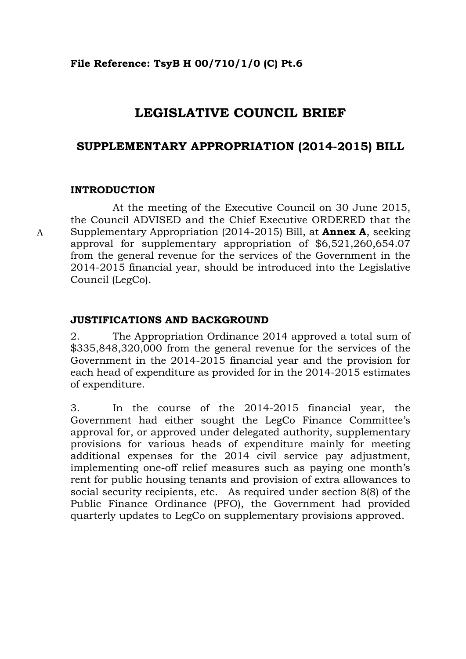### **File Reference: TsyB H 00/710/1/0 (C) Pt.6**

# **LEGISLATIVE COUNCIL BRIEF**

## **SUPPLEMENTARY APPROPRIATION (2014-2015) BILL**

### **INTRODUCTION**

 At the meeting of the Executive Council on 30 June 2015, the Council ADVISED and the Chief Executive ORDERED that the Supplementary Appropriation (2014-2015) Bill, at **Annex A**, seeking approval for supplementary appropriation of \$6,521,260,654.07 from the general revenue for the services of the Government in the 2014-2015 financial year, should be introduced into the Legislative Council (LegCo).

### **JUSTIFICATIONS AND BACKGROUND**

2. The Appropriation Ordinance 2014 approved a total sum of \$335,848,320,000 from the general revenue for the services of the Government in the 2014-2015 financial year and the provision for each head of expenditure as provided for in the 2014-2015 estimates of expenditure.

3. In the course of the 2014-2015 financial year, the Government had either sought the LegCo Finance Committee's approval for, or approved under delegated authority, supplementary provisions for various heads of expenditure mainly for meeting additional expenses for the 2014 civil service pay adjustment, implementing one-off relief measures such as paying one month's rent for public housing tenants and provision of extra allowances to social security recipients, etc. As required under section 8(8) of the Public Finance Ordinance (PFO), the Government had provided quarterly updates to LegCo on supplementary provisions approved.

A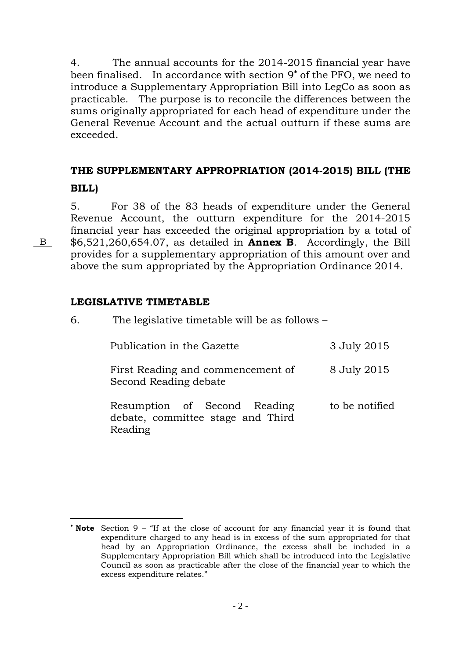4. The annual accounts for the 2014-2015 financial year have been finalised. In accordance with section 9<sup>\*</sup> of the PFO, we need to introduce a Supplementary Appropriation Bill into LegCo as soon as practicable. The purpose is to reconcile the differences between the sums originally appropriated for each head of expenditure under the General Revenue Account and the actual outturn if these sums are exceeded.

# **THE SUPPLEMENTARY APPROPRIATION (2014-2015) BILL (THE BILL)**

5. For 38 of the 83 heads of expenditure under the General Revenue Account, the outturn expenditure for the 2014-2015 financial year has exceeded the original appropriation by a total of \$6,521,260,654.07, as detailed in **Annex B**. Accordingly, the Bill provides for a supplementary appropriation of this amount over and above the sum appropriated by the Appropriation Ordinance 2014.

6. The legislative timetable will be as follows –

## **LEGISLATIVE TIMETABLE**

| Publication in the Gazette                                                   | 3 July 2015    |
|------------------------------------------------------------------------------|----------------|
| First Reading and commencement of<br>Second Reading debate                   | 8 July 2015    |
| Resumption of Second Reading<br>debate, committee stage and Third<br>Reading | to be notified |

B

 $\overline{a}$ 

 **Note** Section 9 – "If at the close of account for any financial year it is found that expenditure charged to any head is in excess of the sum appropriated for that head by an Appropriation Ordinance, the excess shall be included in a Supplementary Appropriation Bill which shall be introduced into the Legislative Council as soon as practicable after the close of the financial year to which the excess expenditure relates."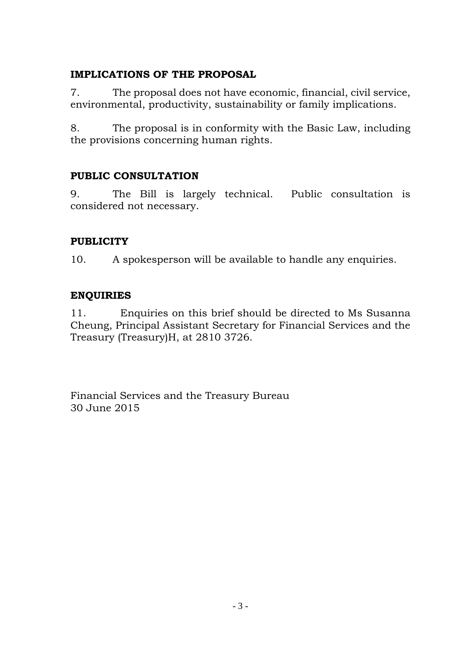## **IMPLICATIONS OF THE PROPOSAL**

7. The proposal does not have economic, financial, civil service, environmental, productivity, sustainability or family implications.

8. The proposal is in conformity with the Basic Law, including the provisions concerning human rights.

## **PUBLIC CONSULTATION**

9. The Bill is largely technical. Public consultation is considered not necessary.

## **PUBLICITY**

10. A spokesperson will be available to handle any enquiries.

## **ENQUIRIES**

11. Enquiries on this brief should be directed to Ms Susanna Cheung, Principal Assistant Secretary for Financial Services and the Treasury (Treasury)H, at 2810 3726.

Financial Services and the Treasury Bureau 30 June 2015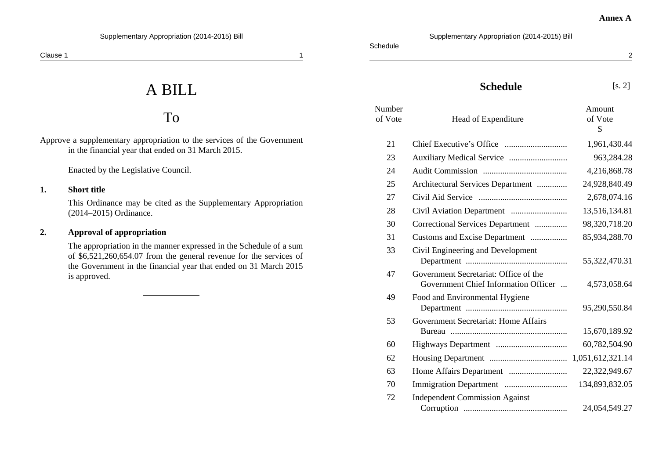A BILL

# To

Approve a supplementary appropriation to the services of the Government in the financial year that ended on 31 March 2015.

Enacted by the Legislative Council.

#### **1. Short title**

This Ordinance may be cited as the Supplementary Appropriation (2014–2015) Ordinance.

#### **2. Approval of appropriation**

The appropriation in the manner expressed in the Schedule of a sum of \$6,521,260,654.07 from the general revenue for the services of the Government in the financial year that ended on 31 March 2015 is approved.

2

#### **Schedule** [s. 2]

Supplementary Appropriation (2014-2015) Bill

| Number<br>of Vote | Head of Expenditure                                                           | Amount<br>of Vote<br>$\mathcal{S}$ |
|-------------------|-------------------------------------------------------------------------------|------------------------------------|
| 21                |                                                                               | 1,961,430.44                       |
| 23                |                                                                               | 963,284.28                         |
| 24                |                                                                               | 4,216,868.78                       |
| 25                | Architectural Services Department                                             | 24,928,840.49                      |
| 27                |                                                                               | 2,678,074.16                       |
| 28                |                                                                               | 13,516,134.81                      |
| 30                | Correctional Services Department                                              | 98,320,718.20                      |
| 31                | Customs and Excise Department                                                 | 85,934,288.70                      |
| 33                | Civil Engineering and Development                                             | 55,322,470.31                      |
| 47                | Government Secretariat: Office of the<br>Government Chief Information Officer | 4,573,058.64                       |
| 49                | Food and Environmental Hygiene                                                | 95,290,550.84                      |
| 53                | Government Secretariat: Home Affairs                                          | 15,670,189.92                      |
| 60                |                                                                               | 60,782,504.90                      |
| 62                |                                                                               | 1,051,612,321.14                   |
| 63                |                                                                               | 22,322,949.67                      |
| 70                |                                                                               | 134,893,832.05                     |
| 72                | <b>Independent Commission Against</b>                                         |                                    |
|                   |                                                                               | 24,054,549.27                      |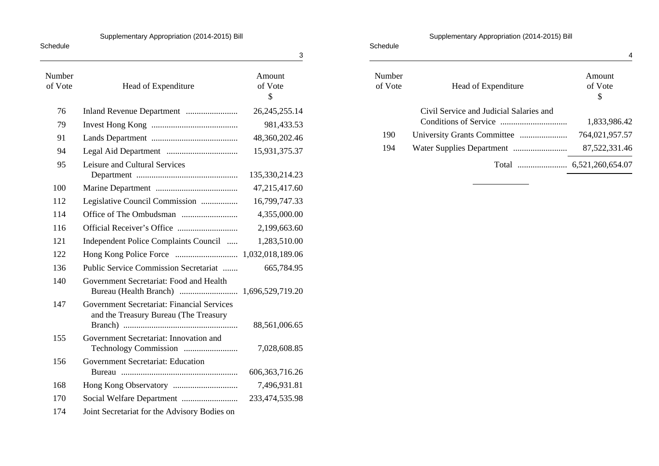#### Supplementary Appropriation (2014-2015) Bill

| Schedule          |                                                                                     | 3                       |
|-------------------|-------------------------------------------------------------------------------------|-------------------------|
| Number<br>of Vote | Head of Expenditure                                                                 | Amount<br>of Vote<br>\$ |
| 76                |                                                                                     | 26, 245, 255. 14        |
| 79                |                                                                                     | 981,433.53              |
| 91                |                                                                                     | 48,360,202.46           |
| 94                |                                                                                     | 15,931,375.37           |
| 95                | Leisure and Cultural Services                                                       | 135,330,214.23          |
| 100               |                                                                                     | 47,215,417.60           |
| 112               | Legislative Council Commission                                                      | 16,799,747.33           |
| 114               |                                                                                     | 4,355,000.00            |
| 116               |                                                                                     | 2,199,663.60            |
| 121               | Independent Police Complaints Council                                               | 1,283,510.00            |
| 122               |                                                                                     |                         |
| 136               | Public Service Commission Secretariat                                               | 665,784.95              |
| 140               | Government Secretariat: Food and Health                                             |                         |
| 147               | Government Secretariat: Financial Services<br>and the Treasury Bureau (The Treasury | 88,561,006.65           |
| 155               | Government Secretariat: Innovation and                                              | 7,028,608.85            |
| 156               | Government Secretariat: Education                                                   | 606, 363, 716. 26       |
| 168               |                                                                                     | 7,496,931.81            |
| 170               |                                                                                     | 233,474,535.98          |
| 174               | Joint Secretariat for the Advisory Bodies on                                        |                         |

#### Supplementary Appropriation (2014-2015) Bill

| Schedule          |                                         | 4                       |
|-------------------|-----------------------------------------|-------------------------|
| Number<br>of Vote | Head of Expenditure                     | Amount<br>of Vote<br>\$ |
|                   | Civil Service and Judicial Salaries and | 1,833,986.42            |
| 190               |                                         | 764,021,957.57          |
| 194               |                                         | 87, 522, 331. 46        |
|                   |                                         |                         |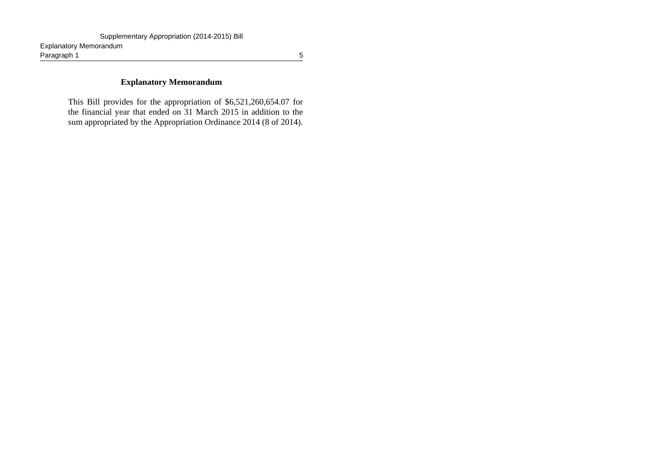#### **Explanatory Memorandum**

This Bill provides for the appropriation of \$6,521,260,654.07 for the financial year that ended on 31 March 2015 in addition to the sum appropriated by the Appropriation Ordinance 2014 (8 of 2014).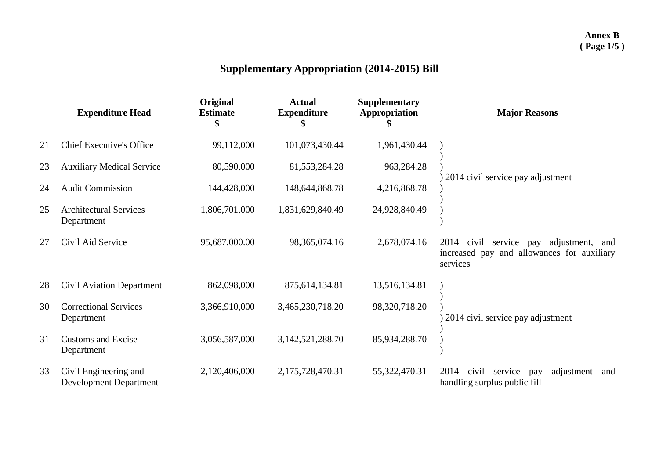# **Supplementary Appropriation (2014-2015) Bill**

|    | <b>Expenditure Head</b>                                | Original<br><b>Estimate</b> | <b>Actual</b><br><b>Expenditure</b> | <b>Supplementary</b><br>Appropriation | <b>Major Reasons</b>                                                                                         |
|----|--------------------------------------------------------|-----------------------------|-------------------------------------|---------------------------------------|--------------------------------------------------------------------------------------------------------------|
| 21 | <b>Chief Executive's Office</b>                        | 99,112,000                  | 101,073,430.44                      | 1,961,430.44                          |                                                                                                              |
| 23 | <b>Auxiliary Medical Service</b>                       | 80,590,000                  | 81,553,284.28                       | 963,284.28                            |                                                                                                              |
| 24 | <b>Audit Commission</b>                                | 144,428,000                 | 148, 644, 868. 78                   | 4,216,868.78                          | 2014 civil service pay adjustment                                                                            |
| 25 | <b>Architectural Services</b><br>Department            | 1,806,701,000               | 1,831,629,840.49                    | 24,928,840.49                         |                                                                                                              |
| 27 | Civil Aid Service                                      | 95,687,000.00               | 98, 365, 074. 16                    | 2,678,074.16                          | 2014<br>adjustment,<br>civil service pay<br>and<br>increased pay<br>and allowances for auxiliary<br>services |
| 28 | <b>Civil Aviation Department</b>                       | 862,098,000                 | 875,614,134.81                      | 13,516,134.81                         |                                                                                                              |
| 30 | <b>Correctional Services</b><br>Department             | 3,366,910,000               | 3,465,230,718.20                    | 98,320,718.20                         | 2014 civil service pay adjustment                                                                            |
| 31 | <b>Customs and Excise</b><br>Department                | 3,056,587,000               | 3, 142, 521, 288. 70                | 85,934,288.70                         |                                                                                                              |
| 33 | Civil Engineering and<br><b>Development Department</b> | 2,120,406,000               | 2,175,728,470.31                    | 55,322,470.31                         | 2014<br>civil<br>service<br>adjustment<br>pay<br>and<br>handling surplus public fill                         |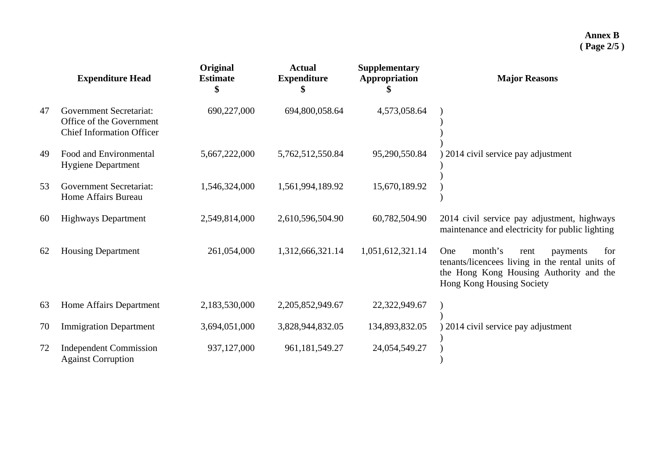|    | <b>Expenditure Head</b>                                                                        | Original<br><b>Estimate</b> | <b>Actual</b><br><b>Expenditure</b> | <b>Supplementary</b><br>Appropriation | <b>Major Reasons</b>                                                                                                                                                 |
|----|------------------------------------------------------------------------------------------------|-----------------------------|-------------------------------------|---------------------------------------|----------------------------------------------------------------------------------------------------------------------------------------------------------------------|
| 47 | <b>Government Secretariat:</b><br>Office of the Government<br><b>Chief Information Officer</b> | 690,227,000                 | 694,800,058.64                      | 4,573,058.64                          |                                                                                                                                                                      |
| 49 | Food and Environmental<br><b>Hygiene Department</b>                                            | 5,667,222,000               | 5,762,512,550.84                    | 95,290,550.84                         | 2014 civil service pay adjustment                                                                                                                                    |
| 53 | <b>Government Secretariat:</b><br>Home Affairs Bureau                                          | 1,546,324,000               | 1,561,994,189.92                    | 15,670,189.92                         |                                                                                                                                                                      |
| 60 | <b>Highways Department</b>                                                                     | 2,549,814,000               | 2,610,596,504.90                    | 60,782,504.90                         | 2014 civil service pay adjustment, highways<br>maintenance and electricity for public lighting                                                                       |
| 62 | <b>Housing Department</b>                                                                      | 261,054,000                 | 1,312,666,321.14                    | 1,051,612,321.14                      | month's<br>One<br>for<br>rent<br>payments<br>tenants/licencees living in the rental units of<br>the Hong Kong Housing Authority and the<br>Hong Kong Housing Society |
| 63 | Home Affairs Department                                                                        | 2,183,530,000               | 2,205,852,949.67                    | 22,322,949.67                         |                                                                                                                                                                      |
| 70 | <b>Immigration Department</b>                                                                  | 3,694,051,000               | 3,828,944,832.05                    | 134,893,832.05                        | 2014 civil service pay adjustment                                                                                                                                    |
| 72 | <b>Independent Commission</b><br><b>Against Corruption</b>                                     | 937,127,000                 | 961, 181, 549. 27                   | 24,054,549.27                         |                                                                                                                                                                      |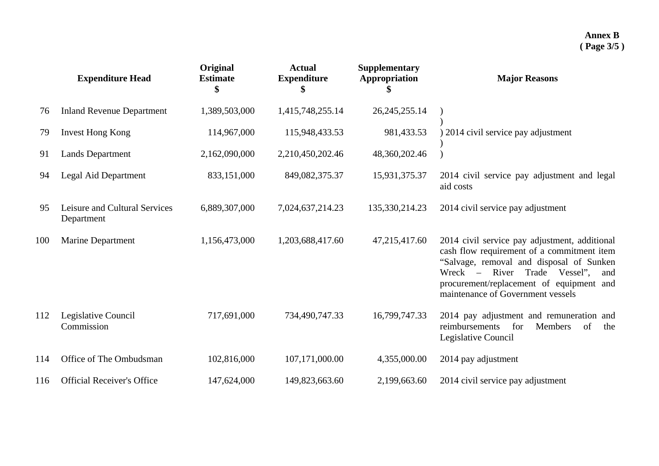|     | <b>Expenditure Head</b>                     | Original<br><b>Estimate</b><br>\$ | <b>Actual</b><br><b>Expenditure</b><br>\$ | <b>Supplementary</b><br>Appropriation | <b>Major Reasons</b>                                                                                                                                                                                                                                                 |
|-----|---------------------------------------------|-----------------------------------|-------------------------------------------|---------------------------------------|----------------------------------------------------------------------------------------------------------------------------------------------------------------------------------------------------------------------------------------------------------------------|
| 76  | <b>Inland Revenue Department</b>            | 1,389,503,000                     | 1,415,748,255.14                          | 26, 245, 255. 14                      |                                                                                                                                                                                                                                                                      |
| 79  | <b>Invest Hong Kong</b>                     | 114,967,000                       | 115,948,433.53                            | 981,433.53                            | 2014 civil service pay adjustment                                                                                                                                                                                                                                    |
| 91  | <b>Lands Department</b>                     | 2,162,090,000                     | 2,210,450,202.46                          | 48,360,202.46                         |                                                                                                                                                                                                                                                                      |
| 94  | Legal Aid Department                        | 833,151,000                       | 849,082,375.37                            | 15,931,375.37                         | 2014 civil service pay adjustment and legal<br>aid costs                                                                                                                                                                                                             |
| 95  | Leisure and Cultural Services<br>Department | 6,889,307,000                     | 7,024,637,214.23                          | 135,330,214.23                        | 2014 civil service pay adjustment                                                                                                                                                                                                                                    |
| 100 | <b>Marine Department</b>                    | 1,156,473,000                     | 1,203,688,417.60                          | 47,215,417.60                         | 2014 civil service pay adjustment, additional<br>cash flow requirement of a commitment item<br>"Salvage, removal and disposal of Sunken<br>River Trade Vessel",<br>$Wreck -$<br>and<br>procurement/replacement of equipment and<br>maintenance of Government vessels |
| 112 | Legislative Council<br>Commission           | 717,691,000                       | 734,490,747.33                            | 16,799,747.33                         | 2014 pay adjustment and remuneration and<br>for<br>reimbursements<br>Members<br>of<br>the<br>Legislative Council                                                                                                                                                     |
| 114 | Office of The Ombudsman                     | 102,816,000                       | 107,171,000.00                            | 4,355,000.00                          | 2014 pay adjustment                                                                                                                                                                                                                                                  |
| 116 | <b>Official Receiver's Office</b>           | 147,624,000                       | 149,823,663.60                            | 2,199,663.60                          | 2014 civil service pay adjustment                                                                                                                                                                                                                                    |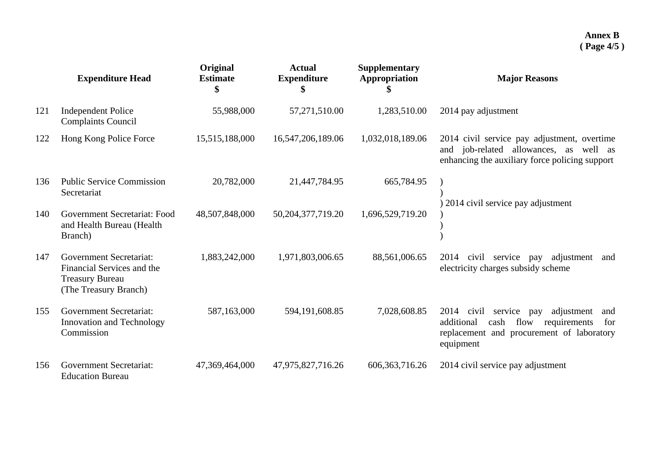|     | <b>Expenditure Head</b>                                                                                         | Original<br><b>Estimate</b><br>\$ | <b>Actual</b><br><b>Expenditure</b><br>\$ | <b>Supplementary</b><br>Appropriation | <b>Major Reasons</b>                                                                                                                                             |
|-----|-----------------------------------------------------------------------------------------------------------------|-----------------------------------|-------------------------------------------|---------------------------------------|------------------------------------------------------------------------------------------------------------------------------------------------------------------|
| 121 | <b>Independent Police</b><br><b>Complaints Council</b>                                                          | 55,988,000                        | 57,271,510.00                             | 1,283,510.00                          | 2014 pay adjustment                                                                                                                                              |
| 122 | Hong Kong Police Force                                                                                          | 15,515,188,000                    | 16,547,206,189.06                         | 1,032,018,189.06                      | 2014 civil service pay adjustment, overtime<br>and job-related allowances, as well as<br>enhancing the auxiliary force policing support                          |
| 136 | <b>Public Service Commission</b><br>Secretariat                                                                 | 20,782,000                        | 21,447,784.95                             | 665,784.95                            | 2014 civil service pay adjustment                                                                                                                                |
| 140 | Government Secretariat: Food<br>and Health Bureau (Health<br>Branch)                                            | 48,507,848,000                    | 50, 204, 377, 719. 20                     | 1,696,529,719.20                      |                                                                                                                                                                  |
| 147 | <b>Government Secretariat:</b><br>Financial Services and the<br><b>Treasury Bureau</b><br>(The Treasury Branch) | 1,883,242,000                     | 1,971,803,006.65                          | 88,561,006.65                         | 2014<br>civil service<br>adjustment<br>pay<br>and<br>electricity charges subsidy scheme                                                                          |
| 155 | <b>Government Secretariat:</b><br>Innovation and Technology<br>Commission                                       | 587,163,000                       | 594,191,608.85                            | 7,028,608.85                          | 2014<br>civil<br>service<br>adjustment<br>pay<br>and<br>cash flow<br>additional<br>requirements<br>for<br>replacement and procurement of laboratory<br>equipment |
| 156 | <b>Government Secretariat:</b><br><b>Education Bureau</b>                                                       | 47,369,464,000                    | 47,975,827,716.26                         | 606, 363, 716. 26                     | 2014 civil service pay adjustment                                                                                                                                |